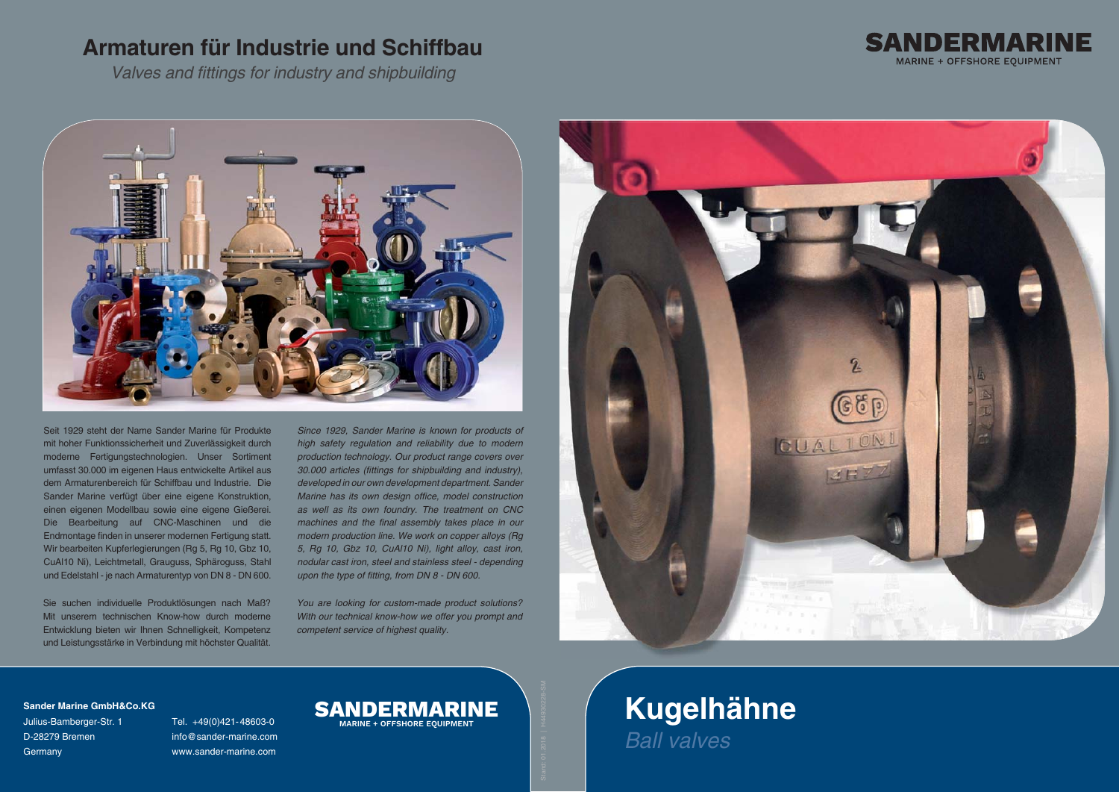## **Armaturen für Industrie und Schiffbau**

*Valves and fittings for industry and shipbuilding* 





Seit 1929 steht der Name Sander Marine für Produkte mit hoher Funktionssicherheit und Zuverlässigkeit durch moderne Fertigungstechnologien. Unser Sortiment umfasst 30.000 im eigenen Haus entwickelte Artikel aus dem Armaturenbereich für Schiffbau und Industrie. Die Sander Marine verfügt über eine eigene Konstruktion, einen eigenen Modellbau sowie eine eigene Gießerei. Die Bearbeitung auf CNC-Maschinen und die Endmontage finden in unserer modernen Fertigung statt. Wir bearbeiten Kupferlegierungen (Rg 5, Rg 10, Gbz 10, CuAl10 Ni), Leichtmetall, Grauguss, Sphäroguss, Stahl und Edelstahl - je nach Armaturentyp von DN 8 - DN 600.

Sie suchen individuelle Produktlösungen nach Maß? Mit unserem technischen Know-how durch moderne Entwicklung bieten wir Ihnen Schnelligkeit, Kompetenz und Leistungsstärke in Verbindung mit höchster Qualität.

*Since 1929, Sander Marine is known for products of high safety regulation and reliability due to modern production technology. Our product range covers over*  30.000 articles (fittings for shipbuilding and industry), *developed in our own development department. Sander Marine has its own design office, model construction as well as its own foundry. The treatment on CNC machines and the final assembly takes place in our modern production line. We work on copper alloys (Rg 5, Rg 10, Gbz 10, CuAl10 Ni), light alloy, cast iron, nodular cast iron, steel and stainless steel - depending upon the type of fitting, from DN 8 - DN 600.* 

*You are looking for custom-made product solutions? With our technical know-how we offer you prompt and competent service of highest quality.*



# Sander Marine GmbH&Co.KG<br>Julius-Bamberger-Str. 1 Tel. +49(0)421-48603-0 **SANDERMARINE**<br>D-28279 Bremen info@sander-marine.com<br>Germany www.sander-marine.com www.sander-marine.com

#### **NDERMARINE MARINE + OFFSHORE EQUIPMENT**

**Kugelhähne** *Ball valves*